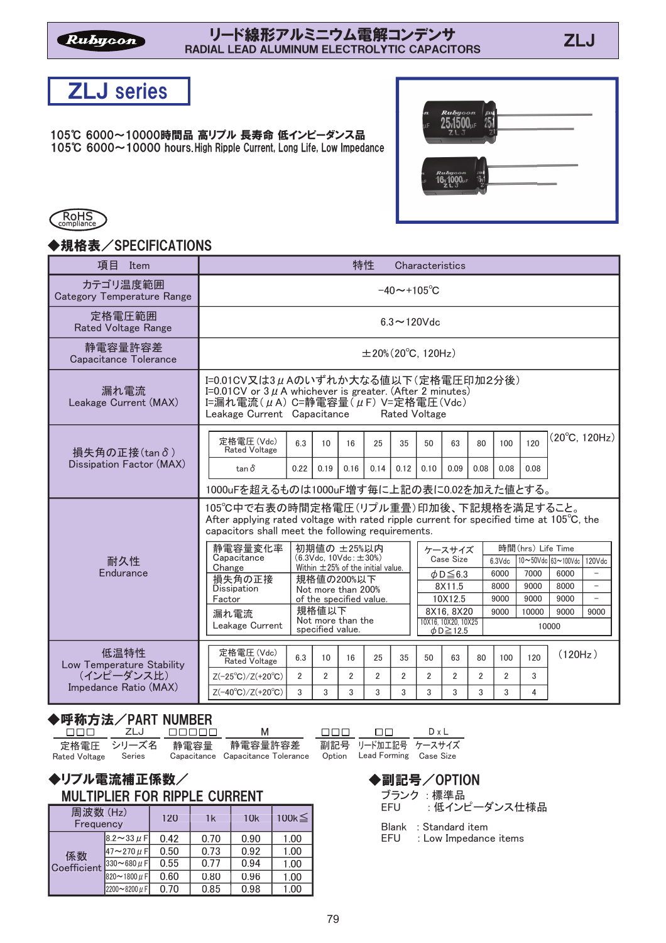

105℃ 6000~10000時間品 高リプル 長寿命 低インピーダンス品 105°C 6000~10000 hours. High Ripple Current, Long Life, Low Impedance





## ◆規格表/SPECIFICATIONS

| 項目<br>Item                             |                                                                                                                                                                                                  |                                                                                                                                                                                                               |                                                                  |                | 特性                                     |                          | Characteristics                                                                    |                                                           |                |                |              |               |                          |
|----------------------------------------|--------------------------------------------------------------------------------------------------------------------------------------------------------------------------------------------------|---------------------------------------------------------------------------------------------------------------------------------------------------------------------------------------------------------------|------------------------------------------------------------------|----------------|----------------------------------------|--------------------------|------------------------------------------------------------------------------------|-----------------------------------------------------------|----------------|----------------|--------------|---------------|--------------------------|
| カテゴリ温度範囲<br>Category Temperature Range |                                                                                                                                                                                                  |                                                                                                                                                                                                               |                                                                  |                |                                        | $-40 \sim +105^{\circ}C$ |                                                                                    |                                                           |                |                |              |               |                          |
| 定格電圧範囲<br><b>Rated Voltage Range</b>   |                                                                                                                                                                                                  |                                                                                                                                                                                                               |                                                                  |                |                                        |                          | $6.3 \sim 120$ Vdc                                                                 |                                                           |                |                |              |               |                          |
| 静電容量許容差<br>Capacitance Tolerance       | $\pm 20\%$ (20 $^{\circ}$ C, 120Hz)                                                                                                                                                              |                                                                                                                                                                                                               |                                                                  |                |                                        |                          |                                                                                    |                                                           |                |                |              |               |                          |
| 漏れ電流<br>Leakage Current (MAX)          |                                                                                                                                                                                                  | I=0.01CV又は3μAのいずれか大なる値以下(定格電圧印加2分後)<br>I=0.01 CV or $3 \mu$ A whichever is greater. (After 2 minutes)<br>I=漏れ電流( $\mu$ A) C=静電容量( $\mu$ F) V=定格電圧(Vdc)<br>Leakage Current Capacitance<br><b>Rated Voltage</b> |                                                                  |                |                                        |                          |                                                                                    |                                                           |                |                |              |               |                          |
| 損失角の正接(tanδ)                           | 定格電圧(Vdc)<br><b>Rated Voltage</b>                                                                                                                                                                | 6.3                                                                                                                                                                                                           | 10 <sup>1</sup>                                                  | 16             | 25                                     | 35                       | 50                                                                                 | 63                                                        | 80             | 100            | 120          |               | $(20^{\circ}C, 120Hz)$   |
| Dissipation Factor (MAX)               | $tan \delta$<br>1000uFを超えるものは1000uF増す毎に上記の表に0.02を加えた値とする。                                                                                                                                        | 0.22                                                                                                                                                                                                          | 0.19                                                             | 0.16           | 0.14                                   | 0.12                     | 0.10                                                                               | 0.09                                                      | 0.08           | 0.08           | 0.08         |               |                          |
|                                        | 105℃中で右表の時間定格電圧(リプル重畳)印加後、下記規格を満足すること。<br>After applying rated voltage with rated ripple current for specified time at $105^{\circ}$ C, the<br>capacitors shall meet the following requirements. |                                                                                                                                                                                                               |                                                                  |                |                                        |                          |                                                                                    |                                                           |                |                |              |               |                          |
| 耐久性<br>Endurance                       | 静電容量変化率<br>Capacitance<br>Change                                                                                                                                                                 |                                                                                                                                                                                                               | 初期値の ±25%以内<br>$(6.3 \text{Vdc}$ , $10 \text{Vdc}$ ; $\pm 30\%)$ |                | Within $\pm 25%$ of the initial value. |                          | 時間(hrs) Life Time<br>ケースサイズ<br>Case Size<br>10∼50Vdc 63~100Vdc 120Vdc<br>$6.3$ Vdc |                                                           |                |                |              |               |                          |
|                                        | 損失角の正接<br>Dissipation                                                                                                                                                                            |                                                                                                                                                                                                               | 規格値の200%以下<br>Not more than 200%                                 |                |                                        |                          |                                                                                    | $\phi$ D $\leq$ 6.3<br>8X11.5                             |                | 6000<br>8000   | 7000<br>9000 | 6000<br>8000  | $\overline{\phantom{a}}$ |
|                                        | Factor                                                                                                                                                                                           |                                                                                                                                                                                                               | of the specified value.                                          |                |                                        |                          |                                                                                    | 10X12.5                                                   |                | 9000           | 9000         | 9000          | $\overline{\phantom{a}}$ |
|                                        | 漏れ電流<br>Leakage Current                                                                                                                                                                          |                                                                                                                                                                                                               | 規格値以下<br>Not more than the<br>specified value.                   |                |                                        |                          |                                                                                    | 8X16, 8X20<br>10X16, 10X20, 10X25<br>$\phi$ D $\geq$ 12.5 |                | 9000           | 10000        | 9000<br>10000 | 9000                     |
| 低温特性<br>Low Temperature Stability      | 定格雷圧(Vdc)<br><b>Rated Voltage</b>                                                                                                                                                                | 6.3                                                                                                                                                                                                           | 10                                                               | 16             | 25                                     | 35                       | 50                                                                                 | 63                                                        | 80             | 100            | 120          | (120Hz)       |                          |
| (インピーダンス比)                             | $Z(-25^{\circ}C)/Z(+20^{\circ}C)$                                                                                                                                                                | $\overline{2}$                                                                                                                                                                                                | $\overline{2}$                                                   | $\overline{2}$ | $\overline{2}$                         | $\overline{2}$           | $\overline{2}$                                                                     | $\overline{2}$                                            | $\overline{2}$ | $\overline{2}$ | 3            |               |                          |
| Impedance Ratio (MAX)                  | $Z(-40^{\circ}C)/Z(+20^{\circ}C)$                                                                                                                                                                | 3                                                                                                                                                                                                             | 3                                                                | 3              | 3                                      | 3                        | 3                                                                                  | 3                                                         | 3              | 3              | 4            |               |                          |

### ◆呼称方法/PART NUMBER

| <u>ппп —</u>         | ZLJ NNNNN | M                                                                                         | <b>FIFILE</b> | $\Box$            | DxL |
|----------------------|-----------|-------------------------------------------------------------------------------------------|---------------|-------------------|-----|
| Rated Voltage Series |           | 定格電圧 シリーズ名 静電容量 静電容量許容差<br>Capacitance Capacitance Tolerance Option Lead Forming Case Siz |               | 副記号 リード加工記号 ケースサイ |     |

#### ◆リプル電流補正係数/ MULTIPLIER FOR RIPPLE CURRENT

| 周波数(Hz)<br>Frequency |                        | 120  | 1k   | 10k  | 100 $k \leq$ |
|----------------------|------------------------|------|------|------|--------------|
|                      | 8.2~33 $\mu$ F         | 0.42 | 0.70 | 0.90 | 1.00         |
| 係数                   | 47~270 $\mu$ F         | 0.50 | 0.73 | 0.92 | 1.00         |
| Coefficient          | 330 $\sim$ 680 $\mu$ F | 0.55 | 0.77 | 0.94 | 1.00         |
|                      | 820~1800 $\mu$ F       | 0.60 | 0.80 | 0.96 | 1.00         |
|                      | $2200 - 8200 \mu F$    | 0.70 | 0.85 | 0.98 | 1.00         |

 $\overline{F}$  ケースサイズ red Voltage Case Size

ブランク : 標準品<br>EFU : 低イン! ◆副記号/OPTION

EFU : PQRSTURVyzt

Blank : Standard item

EFU : Low Impedance items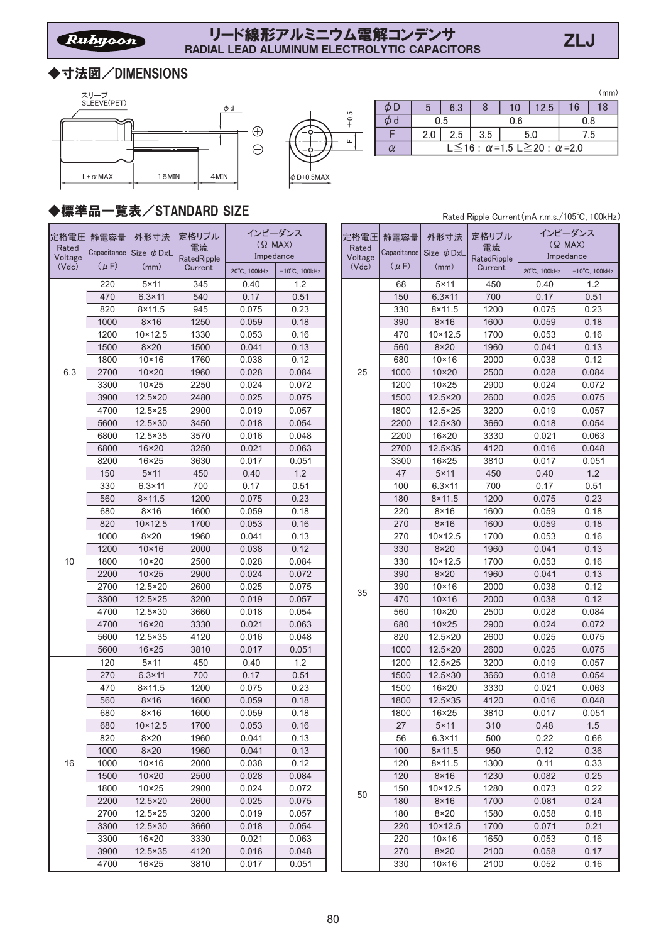## ◆寸法図/DIMENSIONS





|  |     |                                   |     |     |      |    | (mm) |  |  |  |
|--|-----|-----------------------------------|-----|-----|------|----|------|--|--|--|
|  |     | 6.3                               |     | 10  | 12.5 | 16 | 18   |  |  |  |
|  |     | 0.5                               |     | 0.6 |      |    | 0.8  |  |  |  |
|  | 2.0 | 2.5                               | 3.5 | 5.0 | ′.5  |    |      |  |  |  |
|  |     | L ≤ 16 : α = 1.5 L ≥ 20 : α = 2.0 |     |     |      |    |      |  |  |  |
|  |     |                                   |     |     |      |    |      |  |  |  |

# ◆標準品一覧表/STANDARD SIZE

| 定格電圧<br>Rated<br>Voltage | 静電容量<br>Capacitance | 外形寸法<br>Size $\phi$ DxL | 定格リプル<br>電流<br>RatedRipple | Impedance    | インピーダンス<br>$(Q$ MAX)    |  | 定格電圧<br>Rated<br>Voltage | 静電容量<br>Capacitance | 外形寸法<br>Size $\phi$ DxL | 定格リプル<br>電流<br>RatedRipple | インピーダンス<br>$(Q$ MAX)<br>Impedance |                      |
|--------------------------|---------------------|-------------------------|----------------------------|--------------|-------------------------|--|--------------------------|---------------------|-------------------------|----------------------------|-----------------------------------|----------------------|
| (Vdc)                    | $(\mu F)$           | (mm)                    | Current                    | 20°C, 100kHz | $-10^{\circ}$ C, 100kHz |  | (Vdc)                    | $(\mu F)$           | (mm)                    | Current                    | 20°C, 100kHz                      | $-10^{\circ}$ C, 100 |
|                          | 220                 | $5 \times 11$           | 345                        | 0.40         | 1.2                     |  |                          | 68                  | $5 \times 11$           | 450                        | 0.40                              | 1.2                  |
|                          | 470                 | $6.3 \times 11$         | 540                        | 0.17         | 0.51                    |  |                          | 150                 | $6.3 \times 11$         | 700                        | 0.17                              | 0.51                 |
|                          | 820                 | $8 \times 11.5$         | 945                        | 0.075        | 0.23                    |  |                          | 330                 | $8 \times 11.5$         | 1200                       | 0.075                             | 0.23                 |
|                          | 1000                | $8 \times 16$           | 1250                       | 0.059        | 0.18                    |  |                          | 390                 | $8 \times 16$           | 1600                       | 0.059                             | 0.18                 |
|                          | 1200                | $10 \times 12.5$        | 1330                       | 0.053        | 0.16                    |  |                          | 470                 | $10 \times 12.5$        | 1700                       | 0.053                             | 0.16                 |
|                          | 1500                | $8\times20$             | 1500                       | 0.041        | 0.13                    |  |                          | 560                 | $8\times20$             | 1960                       | 0.041                             | 0.13                 |
|                          | 1800                | $10 \times 16$          | 1760                       | 0.038        | 0.12                    |  |                          | 680                 | $10 \times 16$          | 2000                       | 0.038                             | 0.12                 |
| 6.3                      | 2700                | $10 \times 20$          | 1960                       | 0.028        | 0.084                   |  | 25                       | 1000                | $10 \times 20$          | 2500                       | 0.028                             | 0.084                |
|                          | 3300                | $10 \times 25$          | 2250                       | 0.024        | 0.072                   |  |                          | 1200                | $10\times25$            | 2900                       | 0.024                             | 0.072                |
|                          | 3900                | 12.5×20                 | 2480                       | 0.025        | 0.075                   |  |                          | 1500                | 12.5×20                 | 2600                       | 0.025                             | 0.075                |
|                          | 4700                | $12.5 \times 25$        | 2900                       | 0.019        | 0.057                   |  |                          | 1800                | 12.5×25                 | 3200                       | 0.019                             | 0.057                |
|                          | 5600                | 12.5×30                 | 3450                       | 0.018        | 0.054                   |  |                          | 2200                | 12.5×30                 | 3660                       | 0.018                             | 0.054                |
|                          | 6800                | $12.5 \times 35$        | 3570                       | 0.016        | 0.048                   |  |                          | 2200                | 16×20                   | 3330                       | 0.021                             | 0.063                |
|                          | 6800                | $16 \times 20$          | 3250                       | 0.021        | 0.063                   |  |                          | 2700                | $12.5 \times 35$        | 4120                       | 0.016                             | 0.048                |
|                          | 8200                | $16 \times 25$          | 3630                       | 0.017        | 0.051                   |  |                          | 3300                | $16 \times 25$          | 3810                       | 0.017                             | 0.05                 |
|                          | 150                 | $5 \times 11$           | 450                        | 0.40         | 1.2                     |  |                          | 47                  | $5 \times 11$           | 450                        | 0.40                              | 1.2                  |
|                          | 330                 | $6.3 \times 11$         | 700                        | 0.17         | 0.51                    |  |                          | 100                 | $6.3 \times 11$         | 700                        | 0.17                              | 0.51                 |
|                          | 560                 | $8 \times 11.5$         | 1200                       | 0.075        | 0.23                    |  |                          | 180                 | $8 \times 11.5$         | 1200                       | 0.075                             | 0.23                 |
|                          | 680                 | $8 \times 16$           | 1600                       | 0.059        | 0.18                    |  |                          | 220                 | $8\times 16$            | 1600                       | 0.059                             | 0.18                 |
|                          | 820                 | $10 \times 12.5$        | 1700                       | 0.053        | 0.16                    |  |                          | 270                 | $8 \times 16$           | 1600                       | 0.059                             | 0.18                 |
|                          | 1000                | $8\times 20$            | 1960                       | 0.041        | 0.13                    |  |                          | 270                 | $10 \times 12.5$        | 1700                       | 0.053                             | 0.16                 |
|                          | 1200                | $10 \times 16$          | 2000                       | 0.038        | 0.12                    |  |                          | 330                 | $8\times20$             | 1960                       | 0.041                             | 0.13                 |
| 10                       | 1800                | $10 \times 20$          | 2500                       | 0.028        | 0.084                   |  |                          | 330                 | $10 \times 12.5$        | 1700                       | 0.053                             | 0.16                 |
|                          | 2200                | $10 \times 25$          | 2900                       | 0.024        | 0.072                   |  |                          | 390                 | $8\times20$             | 1960                       | 0.041                             | 0.13                 |
|                          | 2700                | 12.5×20                 | 2600                       | 0.025        | 0.075                   |  | 35                       | 390                 | $10 \times 16$          | 2000                       | 0.038                             | 0.12                 |
|                          | 3300                | $12.5 \times 25$        | 3200                       | 0.019        | 0.057                   |  |                          | 470                 | $10 \times 16$          | 2000                       | 0.038                             | 0.12                 |
|                          | 4700                | 12.5×30                 | 3660                       | 0.018        | 0.054                   |  |                          | 560                 | $10 \times 20$          | 2500                       | 0.028                             | 0.084                |
|                          | 4700                | $16 \times 20$          | 3330                       | 0.021        | 0.063                   |  |                          | 680                 | $10 \times 25$          | 2900                       | 0.024                             | 0.072                |
|                          | 5600                | $12.5 \times 35$        | 4120                       | 0.016        | 0.048                   |  |                          | 820                 | $12.5 \times 20$        | 2600                       | 0.025                             | 0.075                |
|                          | 5600                | $16 \times 25$          | 3810                       | 0.017        | 0.051                   |  |                          | 1000                | 12.5×20                 | 2600                       | 0.025                             | 0.075                |
|                          | 120                 | $5 \times 11$           | 450                        | 0.40         | 1.2                     |  |                          | 1200                | 12.5×25                 | 3200                       | 0.019                             | 0.057                |
|                          | 270                 | $6.3 \times 11$         | 700                        | 0.17         | 0.51                    |  |                          | 1500                | 12.5×30                 | 3660                       | 0.018                             | 0.054                |
|                          | 470                 | $8 \times 11.5$         | 1200                       | 0.075        | 0.23                    |  |                          | 1500                | $16 \times 20$          | 3330                       | 0.021                             | 0.063                |
|                          | 560                 | $8 \times 16$           | 1600                       | 0.059        | 0.18                    |  |                          | 1800                | 12.5×35                 | 4120                       | 0.016                             | 0.048                |
|                          | 680                 | $8 \times 16$           | 1600                       | 0.059        | 0.18                    |  |                          | 1800                | $16 \times 25$          | 3810                       | 0.017                             | 0.05                 |
|                          | 680                 | $10 \times 12.5$        | 1700                       | 0.053        | 0.16                    |  |                          | 27                  | $5 \times 11$           | 310                        | 0.48                              | 1.5                  |
|                          | 820                 | $8\times20$             | 1960                       | 0.041        | 0.13                    |  |                          | 56                  | $6.3 \times 11$         | 500                        | 0.22                              | 0.66                 |
|                          | 1000                | $8\times20$             | 1960                       | 0.041        | 0.13                    |  |                          | 100                 | $8 \times 11.5$         | 950                        | 0.12                              | 0.36                 |
| 16                       | 1000                | $10 \times 16$          | 2000                       | 0.038        | 0.12                    |  |                          | 120                 | $8 \times 11.5$         | 1300                       | 0.11                              | 0.33                 |
|                          | 1500                | $10 \times 20$          | 2500                       | 0.028        | 0.084                   |  |                          | 120                 | $8\times 16$            | 1230                       | 0.082                             | 0.25                 |
|                          | 1800                | $10 \times 25$          | 2900                       | 0.024        | 0.072                   |  | 50                       | 150                 | $10 \times 12.5$        | 1280                       | 0.073                             | 0.22                 |
|                          | 2200                | 12.5×20                 | 2600                       | 0.025        | 0.075                   |  |                          | 180                 | $8\times16$             | 1700                       | 0.081                             | 0.24                 |
|                          | 2700                | $12.5 \times 25$        | 3200                       | 0.019        | 0.057                   |  |                          | 180                 | $8\times20$             | 1580                       | 0.058                             | 0.18                 |
|                          | 3300                | 12.5×30                 | 3660                       | 0.018        | 0.054                   |  |                          | 220                 | 10×12.5                 | 1700                       | 0.071                             | 0.21                 |
|                          | 3300                | 16×20                   | 3330                       | 0.021        | 0.063                   |  |                          | 220                 | $10 \times 16$          | 1650                       | 0.053                             | 0.16                 |
|                          | 3900                | 12.5×35                 | 4120                       | 0.016        | 0.048                   |  |                          | 270                 | $8\times20$             | 2100                       | 0.058                             | 0.17                 |
|                          | 4700                | $16 \times 25$          | 3810                       | 0.017        | 0.051                   |  |                          | 330                 | $10 \times 16$          | 2100                       | 0.052                             | 0.16                 |

|           | 兄妹               | VIDIVNIV UNI |                      |                         |               |           |                                 |             | Rated Ripple Current (mA r.m.s./105°C, 100kHz) |                         |
|-----------|------------------|--------------|----------------------|-------------------------|---------------|-----------|---------------------------------|-------------|------------------------------------------------|-------------------------|
| 電容量       | 外形寸法             | 定格リプル<br>電流  | インピーダンス<br>$(Q$ MAX) |                         | 定格電圧<br>Rated | 静電容量      | 外形寸法                            | 定格リプル<br>電流 | インピーダンス<br>$(Q$ MAX)                           |                         |
| pacitance | Size $\phi$ DxL  | RatedRipple  | Impedance            |                         | Voltage       |           | Capacitance Size $\,\phi\,$ DxL | RatedRipple | Impedance                                      |                         |
| $(\mu F)$ | (mm)             | Current      | 20°C, 100kHz         | $-10^{\circ}$ C, 100kHz | (Vdc)         | $(\mu F)$ | (mm)                            | Current     | 20°C, 100kHz                                   | $-10^{\circ}$ C, 100kHz |
| 220       | $5 \times 11$    | 345          | 0.40                 | 1.2                     |               | 68        | $5 \times 11$                   | 450         | 0.40                                           | 1.2                     |
| 470       | $6.3 \times 11$  | 540          | 0.17                 | 0.51                    |               | 150       | $6.3 \times 11$                 | 700         | 0.17                                           | 0.51                    |
| 820       | $8 \times 11.5$  | 945          | 0.075                | 0.23                    |               | 330       | $8 \times 11.5$                 | 1200        | 0.075                                          | 0.23                    |
| 1000      | $8\times 16$     | 1250         | 0.059                | 0.18                    |               | 390       | $8\times 16$                    | 1600        | 0.059                                          | 0.18                    |
| 1200      | $10 \times 12.5$ | 1330         | 0.053                | 0.16                    |               | 470       | $10 \times 12.5$                | 1700        | 0.053                                          | 0.16                    |
| 1500      | $8\times20$      | 1500         | 0.041                | 0.13                    |               | 560       | $8\times20$                     | 1960        | 0.041                                          | 0.13                    |
| 1800      | $10 \times 16$   | 1760         | 0.038                | 0.12                    |               | 680       | $10 \times 16$                  | 2000        | 0.038                                          | 0.12                    |
| 2700      | $10 \times 20$   | 1960         | 0.028                | 0.084                   | 25            | 1000      | $10 \times 20$                  | 2500        | 0.028                                          | 0.084                   |
| 3300      | $10 \times 25$   | 2250         | 0.024                | 0.072                   |               | 1200      | $10\times25$                    | 2900        | 0.024                                          | 0.072                   |
| 3900      | 12.5×20          | 2480         | 0.025                | 0.075                   |               | 1500      | 12.5×20                         | 2600        | 0.025                                          | 0.075                   |
| 4700      | $12.5 \times 25$ | 2900         | 0.019                | 0.057                   |               | 1800      | 12.5×25                         | 3200        | 0.019                                          | 0.057                   |
| 5600      | 12.5×30          | 3450         | 0.018                | 0.054                   |               | 2200      | $12.5 \times 30$                | 3660        | 0.018                                          | 0.054                   |
| 6800      | $12.5 \times 35$ | 3570         | 0.016                | 0.048                   |               | 2200      | $16 \times 20$                  | 3330        | 0.021                                          | 0.063                   |
| 6800      | 16×20            | 3250         | 0.021                | 0.063                   |               | 2700      | 12.5×35                         | 4120        | 0.016                                          | 0.048                   |
| 8200      | $16 \times 25$   | 3630         | 0.017                | 0.051                   |               | 3300      | $16 \times 25$                  | 3810        | 0.017                                          | 0.051                   |
| 150       | $5 \times 11$    | 450          | 0.40                 | 1.2                     |               | 47        | $5 \times 11$                   | 450         | 0.40                                           | 1.2                     |
| 330       | $6.3 \times 11$  | 700          | 0.17                 | 0.51                    |               | 100       | $6.3 \times 11$                 | 700         | 0.17                                           | 0.51                    |
| 560       | $8 \times 11.5$  | 1200         | 0.075                | 0.23                    |               | 180       | $8 \times 11.5$                 | 1200        | 0.075                                          | 0.23                    |
| 680       | $8 \times 16$    | 1600         | 0.059                | 0.18                    |               | 220       | $8\times 16$                    | 1600        | 0.059                                          | 0.18                    |
| 820       | $10 \times 12.5$ | 1700         | 0.053                | 0.16                    |               | 270       | $8 \times 16$                   | 1600        | 0.059                                          | 0.18                    |
| 1000      | $8\times20$      | 1960         | 0.041                | 0.13                    |               | 270       | $10 \times 12.5$                | 1700        | 0.053                                          | 0.16                    |
| 1200      | $10 \times 16$   | 2000         | 0.038                | 0.12                    |               | 330       | $8\times 20$                    | 1960        | 0.041                                          | 0.13                    |
| 1800      | $10\times20$     | 2500         | 0.028                | 0.084                   |               | 330       | $10 \times 12.5$                | 1700        | 0.053                                          | 0.16                    |
| 2200      | $10 \times 25$   | 2900         | 0.024                | 0.072                   |               | 390       | $8\times 20$                    | 1960        | 0.041                                          | 0.13                    |
| 2700      | 12.5×20          | 2600         | 0.025                | 0.075                   | 35            | 390       | $10 \times 16$                  | 2000        | 0.038                                          | 0.12                    |
| 3300      | $12.5 \times 25$ | 3200         | 0.019                | 0.057                   |               | 470       | $10 \times 16$                  | 2000        | 0.038                                          | 0.12                    |
| 4700      | 12.5×30          | 3660         | 0.018                | 0.054                   |               | 560       | $10 \times 20$                  | 2500        | 0.028                                          | 0.084                   |
| 4700      | $16 \times 20$   | 3330         | 0.021                | 0.063                   |               | 680       | $10 \times 25$                  | 2900        | 0.024                                          | 0.072                   |
| 5600      | 12.5×35          | 4120         | 0.016                | 0.048                   |               | 820       | 12.5×20                         | 2600        | 0.025                                          | 0.075                   |
| 5600      | $16 \times 25$   | 3810         | 0.017                | 0.051                   |               | 1000      | 12.5×20                         | 2600        | 0.025                                          | 0.075                   |
| 120       | $5 \times 11$    | 450          | 0.40                 | 1.2                     |               | 1200      | 12.5×25                         | 3200        | 0.019                                          | 0.057                   |
| 270       | $6.3 \times 11$  | 700          | 0.17                 | 0.51                    |               | 1500      | 12.5×30                         | 3660        | 0.018                                          | 0.054                   |
| 470       | $8 \times 11.5$  | 1200         | 0.075                | 0.23                    |               | 1500      | $16 \times 20$                  | 3330        | 0.021                                          | 0.063                   |
| 560       | $8 \times 16$    | 1600         | 0.059                | 0.18                    |               | 1800      | 12.5×35                         | 4120        | 0.016                                          | 0.048                   |
| 680       | $8 \times 16$    | 1600         | 0.059                | 0.18                    |               | 1800      | $16 \times 25$                  | 3810        | 0.017                                          | 0.051                   |
| 680       | $10 \times 12.5$ | 1700         | 0.053                | 0.16                    |               | 27        | $5 \times 11$                   | 310         | 0.48                                           | 1.5                     |
| 820       | $8\times20$      | 1960         | 0.041                | 0.13                    |               | 56        | $6.3 \times 11$                 | 500         | 0.22                                           | 0.66                    |
| 1000      | $8\times 20$     | 1960         | 0.041                | 0.13                    |               | 100       | $8 \times 11.5$                 | 950         | 0.12                                           | 0.36                    |
| 1000      | $10\times 16$    | 2000         | 0.038                | 0.12                    |               | 120       | $8 \times 11.5$                 | 1300        | 0.11                                           | 0.33                    |
| 1500      | $10\times20$     | 2500         | 0.028                | 0.084                   |               | 120       | $8\times 16$                    | 1230        | 0.082                                          | 0.25                    |
| 1800      | $10\times25$     | 2900         | 0.024                | 0.072                   | 50            | 150       | $10 \times 12.5$                | 1280        | 0.073                                          | 0.22                    |
| 2200      | 12.5×20          | 2600         | 0.025                | 0.075                   |               | 180       | 8×16                            | 1700        | 0.081                                          | 0.24                    |
| 2700      | $12.5 \times 25$ | 3200         | 0.019                | 0.057                   |               | 180       | $8\times20$                     | 1580        | 0.058                                          | 0.18                    |
| 3300      | $12.5 \times 30$ | 3660         | 0.018                | 0.054                   |               | 220       | $10 \times 12.5$                | 1700        | 0.071                                          | 0.21                    |
| 3300      | 16×20            | 3330         | 0.021                | 0.063                   |               | 220       | $10\times 16$                   | 1650        | 0.053                                          | 0.16                    |
| 3900      | $12.5 \times 35$ | 4120         | 0.016                | 0.048                   |               | 270       | $8\times20$                     | 2100        | 0.058                                          | 0.17                    |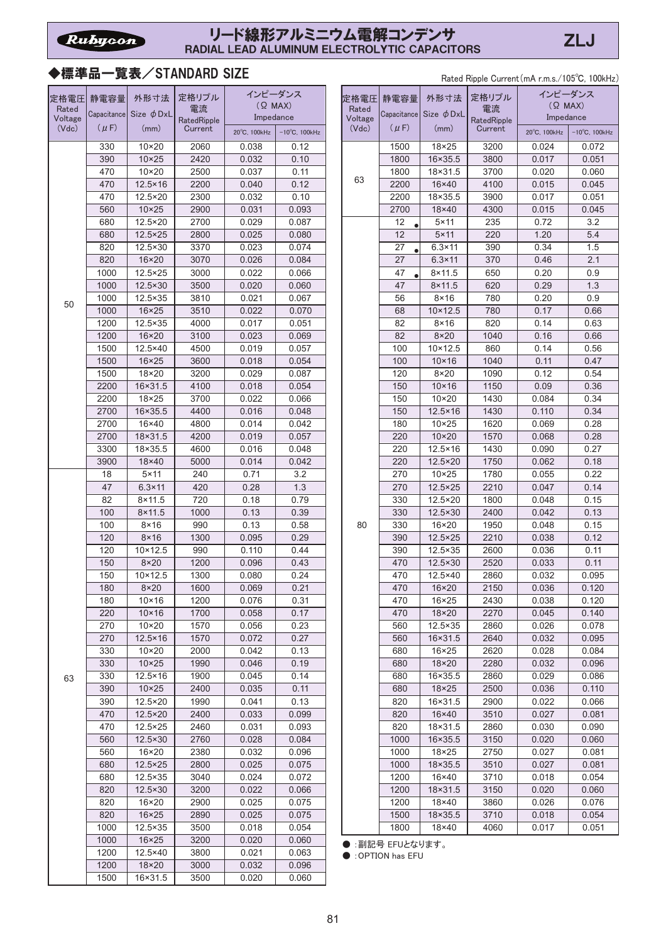# ◆標準品一覧表/STANDARD SIZE

Rated Ripple Current (mA r.m.s./105°C, 100kHz)

|                  |              |                           |              | インピーダンス        |                         |  |
|------------------|--------------|---------------------------|--------------|----------------|-------------------------|--|
| 定格電圧             | 静電容量         | 外形寸法                      | 定格リプル<br>電流  | $(Q$ MAX)      |                         |  |
| Rated<br>Voltage | Capacitance  | Size $\phi$ DxL           | RatedRipple  | Impedance      |                         |  |
| (Vdc)            | $(\mu F)$    | (mm)                      | Current      | 20°C, 100kHz   | $-10^{\circ}$ C, 100kHz |  |
|                  | 330          | $10\times20$              | 2060         | 0.038          | 0.12                    |  |
|                  | 390          | $10 \times 25$            | 2420         | 0.032          | 0.10                    |  |
|                  | 470          | $10\times 20$             | 2500         | 0.037          | 0.11                    |  |
|                  | 470          | $12.5 \times 16$          | 2200         | 0.040          | 0.12                    |  |
|                  | 470          | 12.5×20                   | 2300         | 0.032          | 0.10                    |  |
|                  | 560          | $10 \times 25$            | 2900         | 0.031          | 0.093                   |  |
|                  | 680          | 12.5×20                   | 2700         | 0.029          | 0.087                   |  |
|                  | 680          | $12.5 \times 25$          | 2800         | 0.025          | 0.080                   |  |
|                  | 820          | 12.5×30                   | 3370         | 0.023          | 0.074                   |  |
|                  | 820          | 16×20                     | 3070         | 0.026          | 0.084                   |  |
|                  | 1000         | $12.5 \times 25$          | 3000         | 0.022          | 0.066                   |  |
|                  | 1000         | $12.5 \times 30$          | 3500         | 0.020          | 0.060                   |  |
| 50               | 1000         | 12.5×35                   | 3810         | 0.021          | 0.067                   |  |
|                  | 1000         | $16 \times 25$            | 3510         | 0.022          | 0.070                   |  |
|                  | 1200         | 12.5×35                   | 4000         | 0.017          | 0.051                   |  |
|                  | 1200         | 16×20                     | 3100         | 0.023          | 0.069                   |  |
|                  | 1500<br>1500 | 12.5×40<br>$16 \times 25$ | 4500<br>3600 | 0.019<br>0.018 | 0.057<br>0.054          |  |
|                  | 1500         | 18×20                     |              |                |                         |  |
|                  | 2200         | 16×31.5                   | 3200<br>4100 | 0.029<br>0.018 | 0.087<br>0.054          |  |
|                  | 2200         | 18×25                     | 3700         | 0.022          | 0.066                   |  |
|                  | 2700         | 16×35.5                   | 4400         | 0.016          | 0.048                   |  |
|                  | 2700         | 16×40                     | 4800         | 0.014          | 0.042                   |  |
|                  | 2700         | 18×31.5                   | 4200         | 0.019          | 0.057                   |  |
|                  | 3300         | 18×35.5                   | 4600         | 0.016          | 0.048                   |  |
|                  | 3900         | 18×40                     | 5000         | 0.014          | 0.042                   |  |
|                  | 18           | $5 \times 11$             | 240          | 0.71           | 3.2                     |  |
|                  | 47           | $6.3 \times 11$           | 420          | 0.28           | 1.3                     |  |
|                  | 82           | $8 \times 11.5$           | 720          | 0.18           | 0.79                    |  |
|                  | 100          | $8 \times 11.5$           | 1000         | 0.13           | 0.39                    |  |
|                  | 100          | $8 \times 16$             | 990          | 0.13           | 0.58                    |  |
|                  | 120          | $8\times 16$              | 1300         | 0.095          | 0.29                    |  |
|                  | 120          | $10 \times 12.5$          | 990          | 0.110          | 0.44                    |  |
|                  | 150          | $8\times20$               | 1200         | 0.096          | 0.43                    |  |
|                  | 150          | $10 \times 12.5$          | 1300         | 0.080          | 0.24                    |  |
|                  | 180          | 8×20                      | 1600         | 0.069          | 0.21                    |  |
|                  | 180<br>220   | 10×16<br>$10 \times 16$   | 1200<br>1700 | 0.076<br>0.058 | 0.31<br>0.17            |  |
|                  | 270          | $10\times20$              | 1570         | 0.056          | 0.23                    |  |
|                  | 270          | $12.5 \times 16$          | 1570         | 0.072          | 0.27                    |  |
|                  | 330          | $10\times20$              | 2000         | 0.042          | 0.13                    |  |
|                  | 330          | $10 \times 25$            | 1990         | 0.046          | 0.19                    |  |
| 63               | 330          | $12.5 \times 16$          | 1900         | 0.045          | 0.14                    |  |
|                  | 390          | $10\times25$              | 2400         | 0.035          | 0.11                    |  |
|                  | 390          | 12.5×20                   | 1990         | 0.041          | 0.13                    |  |
|                  | 470          | 12.5×20                   | 2400         | 0.033          | 0.099                   |  |
|                  | 470          | 12.5×25                   | 2460         | 0.031          | 0.093                   |  |
|                  | 560          | 12.5×30                   | 2760         | 0.028          | 0.084                   |  |
|                  | 560          | 16×20                     | 2380         | 0.032          | 0.096                   |  |
|                  | 680          | $12.5 \times 25$          | 2800         | 0.025          | 0.075                   |  |
|                  | 680          | 12.5×35                   | 3040         | 0.024          | 0.072                   |  |
|                  | 820          | 12.5×30                   | 3200         | 0.022          | 0.066                   |  |
|                  | 820          | 16×20                     | 2900         | 0.025          | 0.075                   |  |
|                  | 820          | $16\times25$              | 2890         | 0.025          | 0.075                   |  |
|                  | 1000         | 12.5×35                   | 3500         | 0.018          | 0.054                   |  |
|                  | 1000         | $16\times25$              | 3200         | 0.020          | 0.060                   |  |
|                  | 1200         | 12.5×40                   | 3800         | 0.021          | 0.063                   |  |
|                  | 1200<br>1500 | 18×20<br>16×31.5          | 3000<br>3500 | 0.032<br>0.020 | 0.096<br>0.060          |  |
|                  |              |                           |              |                |                         |  |

| 電容量       | 外形寸法                      | 定格リプル       | インピーダンス        |                         | 定格電圧    | 静電容量      | 外形寸法                        | 定格リプル       | インピーダンス      |                         |
|-----------|---------------------------|-------------|----------------|-------------------------|---------|-----------|-----------------------------|-------------|--------------|-------------------------|
|           |                           | 電流          | $(Q$ MAX)      |                         | Rated   |           |                             | 電流          | $(Q$ MAX)    |                         |
|           | pacitance Size $\phi$ DxL | RatedRipple | Impedance      |                         | Voltage |           | Capacitance Size $\phi$ DxL | RatedRipple | Impedance    |                         |
| $(\mu F)$ | (mm)                      | Current     | 20°C, 100kHz   | $-10^{\circ}$ C, 100kHz | (Vdc)   | $(\mu F)$ | (mm)                        | Current     | 20°C, 100kHz | $-10^{\circ}$ C, 100kHz |
| 330       | $10\times20$              | 2060        | 0.038          | 0.12                    |         | 1500      | $18 \times 25$              | 3200        | 0.024        | 0.072                   |
| 390       | $10 \times 25$            | 2420        | 0.032          | 0.10                    |         | 1800      | 16×35.5                     | 3800        | 0.017        | 0.051                   |
| 470       | $10\times20$              | 2500        | 0.037          | 0.11                    |         | 1800      | 18×31.5                     | 3700        | 0.020        | 0.060                   |
| 470       | $12.5 \times 16$          | 2200        | 0.040          | 0.12                    | 63      | 2200      | $16\times 40$               | 4100        |              |                         |
|           |                           |             |                |                         |         |           |                             |             | 0.015        | 0.045                   |
| 470       | 12.5×20                   | 2300        | 0.032<br>0.031 | 0.10                    |         | 2200      | 18×35.5                     | 3900        | 0.017        | 0.051                   |
| 560       | $10 \times 25$            | 2900        |                | 0.093                   |         | 2700      | 18×40                       | 4300        | 0.015        | 0.045                   |
| 680       | 12.5×20                   | 2700        | 0.029          | 0.087                   |         | 12        | $5 \times 11$               | 235         | 0.72         | 3.2                     |
| 680       | $12.5 \times 25$          | 2800        | 0.025          | 0.080                   |         | 12        | $5 \times 11$               | 220         | 1.20         | 5.4                     |
| 820       | 12.5×30                   | 3370        | 0.023          | 0.074                   |         | 27        | $6.3 \times 11$             | 390         | 0.34         | 1.5                     |
| 820       | 16×20                     | 3070        | 0.026          | 0.084                   |         | 27        | $6.3 \times 11$             | 370         | 0.46         | 2.1                     |
| 1000      | $12.5 \times 25$          | 3000        | 0.022          | 0.066                   |         | 47        | $8 \times 11.5$             | 650         | 0.20         | 0.9                     |
| 1000      | 12.5×30                   | 3500        | 0.020          | 0.060                   |         | 47        | $8 \times 11.5$             | 620         | 0.29         | 1.3                     |
| 1000      | $12.5 \times 35$          | 3810        | 0.021          | 0.067                   |         | 56        | $8 \times 16$               | 780         | 0.20         | 0.9                     |
| 1000      | $16 \times 25$            | 3510        | 0.022          | 0.070                   |         | 68        | $10 \times 12.5$            | 780         | 0.17         | 0.66                    |
| 1200      | 12.5×35                   | 4000        | 0.017          | 0.051                   |         | 82        | $8 \times 16$               | 820         | 0.14         | 0.63                    |
| 1200      | $16 \times 20$            | 3100        | 0.023          | 0.069                   |         | 82        | $8\times20$                 | 1040        | 0.16         | 0.66                    |
| 1500      | 12.5×40                   | 4500        | 0.019          | 0.057                   |         | 100       | $10 \times 12.5$            | 860         | 0.14         | 0.56                    |
| 1500      | $16 \times 25$            | 3600        | 0.018          | 0.054                   |         | 100       | $10 \times 16$              | 1040        | 0.11         | 0.47                    |
| 1500      | 18×20                     | 3200        | 0.029          | 0.087                   |         | 120       | $8\times20$                 | 1090        | 0.12         | 0.54                    |
| 2200      | 16×31.5                   | 4100        | 0.018          | 0.054                   |         | 150       | $10 \times 16$              | 1150        | 0.09         | 0.36                    |
| 2200      | 18×25                     | 3700        | 0.022          | 0.066                   |         | 150       | $10\times 20$               | 1430        | 0.084        | 0.34                    |
| 2700      | 16×35.5                   | 4400        | 0.016          | 0.048                   |         | 150       | $12.5 \times 16$            | 1430        | 0.110        | 0.34                    |
| 2700      | 16×40                     | 4800        | 0.014          | 0.042                   |         | 180       | $10\times25$                | 1620        | 0.069        | 0.28                    |
| 2700      | 18×31.5                   | 4200        | 0.019          | 0.057                   |         | 220       | $10 \times 20$              | 1570        | 0.068        | 0.28                    |
| 3300      | 18×35.5                   | 4600        | 0.016          | 0.048                   |         | 220       | $12.5 \times 16$            | 1430        | 0.090        | 0.27                    |
| 3900      | 18×40                     | 5000        | 0.014          | 0.042                   |         | 220       | 12.5×20                     | 1750        | 0.062        | 0.18                    |
|           | $5 \times 11$             | 240         |                | 3.2                     |         |           | $10 \times 25$              |             |              | 0.22                    |
| 18        |                           |             | 0.71           |                         |         | 270       |                             | 1780        | 0.055        |                         |
| 47        | $6.3 \times 11$           | 420         | 0.28           | 1.3                     |         | 270       | $12.5 \times 25$            | 2210        | 0.047        | 0.14                    |
| 82        | $8 \times 11.5$           | 720         | 0.18           | 0.79                    |         | 330       | $\overline{12.5} \times 20$ | 1800        | 0.048        | 0.15                    |
| 100       | $8 \times 11.5$           | 1000        | 0.13           | 0.39                    |         | 330       | 12.5×30                     | 2400        | 0.042        | 0.13                    |
| 100       | $8 \times 16$             | 990         | 0.13           | 0.58                    | 80      | 330       | $16 \times 20$              | 1950        | 0.048        | 0.15                    |
| 120       | $8 \times 16$             | 1300        | 0.095          | 0.29                    |         | 390       | 12.5×25                     | 2210        | 0.038        | 0.12                    |
| 120       | $10 \times 12.5$          | 990         | 0.110          | 0.44                    |         | 390       | 12.5×35                     | 2600        | 0.036        | 0.11                    |
| 150       | $8\times20$               | 1200        | 0.096          | 0.43                    |         | 470       | 12.5×30                     | 2520        | 0.033        | 0.11                    |
| 150       | $10 \times 12.5$          | 1300        | 0.080          | 0.24                    |         | 470       | 12.5×40                     | 2860        | 0.032        | 0.095                   |
| 180       | $8\times20$               | 1600        | 0.069          | 0.21                    |         | 470       | $16 \times 20$              | 2150        | 0.036        | 0.120                   |
| 180       | $10 \times 16$            | 1200        | 0.076          | 0.31                    |         | 470       | 16×25                       | 2430        | 0.038        | 0.120                   |
| 220       | $10 \times 16$            | 1700        | 0.058          | 0.17                    |         | 470       | 18×20                       | 2270        | 0.045        | 0.140                   |
| 270       | $10\times20$              | 1570        | 0.056          | 0.23                    |         | 560       | 12.5×35                     | 2860        | 0.026        | 0.078                   |
| 270       | $12.5 \times 16$          | 1570        | 0.072          | 0.27                    |         | 560       | 16×31.5                     | 2640        | 0.032        | 0.095                   |
| 330       | $10\times20$              | 2000        | 0.042          | 0.13                    |         | 680       | $16 \times 25$              | 2620        | 0.028        | 0.084                   |
| 330       | $10 \times 25$            | 1990        | 0.046          | 0.19                    |         | 680       | 18×20                       | 2280        | 0.032        | 0.096                   |
| 330       | $12.5 \times 16$          | 1900        | 0.045          | 0.14                    |         | 680       | 16×35.5                     | 2860        | 0.029        | 0.086                   |
| 390       | $10 \times 25$            | 2400        | 0.035          | 0.11                    |         | 680       | 18×25                       | 2500        | 0.036        | 0.110                   |
| 390       | 12.5×20                   | 1990        | 0.041          | 0.13                    |         | 820       | 16×31.5                     | 2900        | 0.022        | 0.066                   |
| 470       | 12.5×20                   | 2400        | 0.033          | 0.099                   |         | 820       | 16×40                       | 3510        | 0.027        | 0.081                   |
| 470       | $12.5 \times 25$          | 2460        | 0.031          | 0.093                   |         | 820       | 18×31.5                     | 2860        | 0.030        | 0.090                   |
| 560       | 12.5×30                   | 2760        | 0.028          | 0.084                   |         | 1000      | 16×35.5                     | 3150        | 0.020        | 0.060                   |
| 560       | 16×20                     | 2380        | 0.032          | 0.096                   |         | 1000      | 18×25                       | 2750        | 0.027        | 0.081                   |
| 680       | $12.5 \times 25$          | 2800        | 0.025          | 0.075                   |         | 1000      | 18×35.5                     | 3510        | 0.027        | 0.081                   |
| 680       | $12.5 \times 35$          | 3040        | 0.024          | 0.072                   |         | 1200      | 16×40                       | 3710        | 0.018        | 0.054                   |
| 820       | 12.5×30                   | 3200        | 0.022          | 0.066                   |         | 1200      | 18×31.5                     | 3150        | 0.020        | 0.060                   |
| 820       | 16×20                     | 2900        | 0.025          | 0.075                   |         | 1200      | 18×40                       | 3860        | 0.026        | 0.076                   |
| 820       | $16 \times 25$            | 2890        | 0.025          | 0.075                   |         | 1500      | 18×35.5                     | 3710        | 0.018        | 0.054                   |
| 1000      | $12.5 \times 35$          | 3500        | 0.018          | 0.054                   |         | 1800      | 18×40                       | 4060        | 0.017        | 0.051                   |
|           |                           |             |                |                         |         |           |                             |             |              |                         |

● :副記号 EFUとなります。

 $\bullet$  : OPTION has EFU